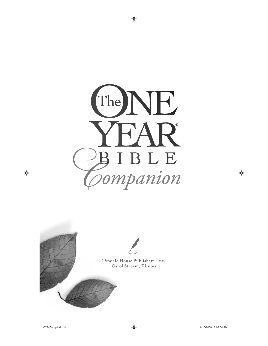



Tyndale House Publishers, Inc. Carol Stream, Illinois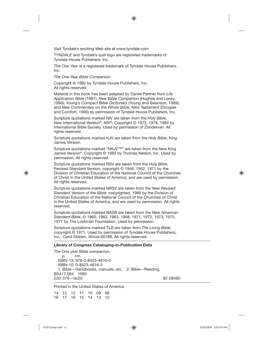Visit Tyndale's exciting Web site at www.tyndale.com

*TYNDALE* and Tyndale's quill logo are registered trademarks of Tyndale House Publishers, Inc.

*The One Year* is a registered trademark of Tyndale House Publishers, Inc.

*The One Year Bible Companion*

Copyright © 1992 by Tyndale House Publishers, Inc. All rights reserved.

Material in this book has been adapted by Daniel Partner from *Life Application Bible* (1987), *New Bible Companion* (Hughes and Laney, 1990), *Young's Compact Bible Dictionary* (Young and Swanson, 1989), and *New Commentary on the Whole Bible*, New Testament (Douglas and Comfort, 1990) by permission of Tyndale House Publishers, Inc.

Scripture quotations marked NIV are taken from the *Holy Bible*, New International Version®. NIV®. Copyright © 1973, 1978, 1984 by International Bible Society. Used by permission of Zondervan. All rights reserved.

Scripture quotations marked KJV are taken from the *Holy Bible*, King James Version.

Scripture quotations marked "NKJV™" are taken from the New King James Version®. Copyright © 1982 by Thomas Nelson, Inc. Used by permission. All rights reserved.

Scripture quotations marked RSV are taken from the *Holy Bible*, Revised Standard Version, copyright © 1946, 1952, 1971 by the Division of Christian Education of the National Council of the Churches of Christ in the United States of America, and are used by permission. All rights reserved.

Scripture quotations marked NRSV are taken from the *New Revised Standard Version of the Bible*, copyrighted, 1989 by the Division of Christian Education of the National Council of the Churches of Christ in the United States of America, and are used by permission. All rights reserved.

Scripture quotations marked NASB are taken from the *New American Standard Bible*, © 1960, 1962, 1963, 1968, 1971, 1972, 1973, 1975, 1977 by The Lockman Foundation. Used by permission.

Scripture quotations marked TLB are taken from *The Living Bible*, copyright © 1971. Used by permission of Tyndale House Publishers, Inc., Carol Stream, Illinois 60188. All rights reserved.

### **Library of Congress Cataloging-in-Publication Data**

The One year Bible companion.

 p. cm. ISBN-13: 978-0-8423-4616-0 ISBN-10: 0-8423-4616-3 1. Bible—Handbooks, manuals, etc. 2. Bible—Reading. BS417.064 1992 220′.076—dc20 92-28480

Printed in the United States of America

14 13 12 11 10 09 08 16 17 16 15 14 13 12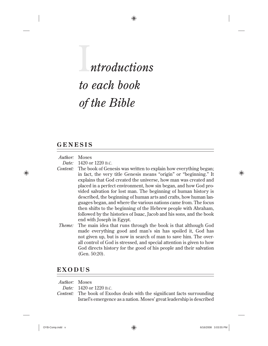# I*ntroductions to each book of the Bible*

### **GENESIS**

 *Author:* Moses

 *Date:* 1420 or 1220 B.C.

- *Content:* The book of Genesis was written to explain how everything began; in fact, the very title Genesis means "origin" or "beginning." It explains that God created the universe, how man was created and placed in a perfect environment, how sin began, and how God provided salvation for lost man. The beginning of human history is described, the beginning of human arts and crafts, how human languages began, and where the various nations came from. The focus then shifts to the beginning of the Hebrew people with Abraham, followed by the histories of Isaac, Jacob and his sons, and the book end with Joseph in Egypt.
- *Theme:* The main idea that runs through the book is that although God made everything good and man's sin has spoiled it, God has not given up, but is now in search of man to save him. The overall control of God is stressed, and special attention is given to how God directs history for the good of his people and their salvation (Gen. 50:20).

### **EXODUS**

 *Author:* Moses

 *Date:* 1420 or 1220 B.C.

*Content:* The book of Exodus deals with the significant facts surrounding Israel's emergence as a nation. Moses' great leadership is described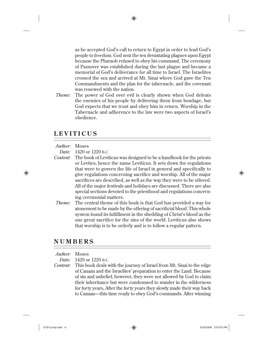as he accepted God's call to return to Egypt in order to lead God's people to freedom. God sent the ten devastating plagues upon Egypt because the Pharaoh refused to obey his command. The ceremony of Passover was established during the last plague and became a memorial of God's deliverance for all time to Israel. The Israelites crossed the sea and arrived at Mt. Sinai where God gave the Ten Commandments and the plan for the tabernacle, and the covenant was renewed with the nation.

*Theme:* The power of God over evil is clearly shown when God defeats the enemies of his people by delivering them from bondage, but God expects that we trust and obey him in return. Worship in the Tabernacle and adherence to the law were two aspects of Israel's obedience.

### **LEVITICUS**

- *Author:* Moses
- *Date:* 1420 or 1220 B.C.
- *Content:* The book of Leviticus was designed to be a handbook for the priests or Levites, hence the name Leviticus. It sets down the regulations that were to govern the life of Israel in general and specifically to give regulations concerning sacrifice and worship. All of the major sacrifices are described, as well as the way they were to be offered. All of the major festivals and holidays are discussed. There are also special sections devoted to the priesthood and regulations concerning ceremonial matters.
- *Theme:* The central theme of this book is that God has provided a way for atonement to be made by the offering of sacrificial blood. This whole system found its fulfillment in the shedding of Christ's blood as the one great sacrifice for the sins of the world. Leviticus also shows that worship is to be orderly and is to follow a regular pattern.

### **NUMBERS**

 *Author:* Moses

 *Date:* 1420 or 1220 B.C.

*Content:* This book deals with the journey of Israel from Mt. Sinai to the edge of Canaan and the Israelites' preparation to enter the Land. Because of sin and unbelief, however, they were not allowed by God to claim their inheritance but were condemned to wander in the wilderness for forty years. After the forty years they slowly made their way back to Canaan—this time ready to obey God's commands. After winning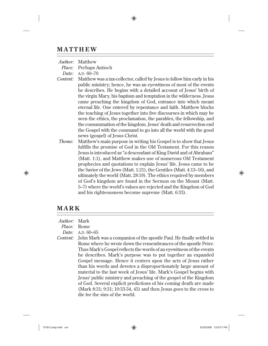*Author:* Matthew

 *Place:* Perhaps Antioch

 *Date:* A.D. 60–70

- *Content:* Matthew was a tax-collector, called by Jesus to follow him early in his public ministry; hence, he was an eyewitness of most of the events he describes. He begins with a detailed account of Jesus' birth of the virgin Mary, his baptism and temptation in the wilderness. Jesus came preaching the kingdom of God, entrance into which meant eternal life. One entered by repentance and faith. Matthew blocks the teaching of Jesus together into five discourses in which may be seen the ethics, the proclamation, the parables, the fellowship, and the consummation of the kingdom. Jesus' death and resurrection end the Gospel with the command to go into all the world with the good news (gospel) of Jesus Christ.
- *Theme:* Matthew's main purpose in writing his Gospel is to show that Jesus fulfills the promise of God in the Old Testament. For this reason Jesus is introduced as "a descendant of King David and of Abraham" (Matt. 1:1), and Matthew makes use of numerous Old Testament prophecies and quotations to explain Jesus' life. Jesus came to be the Savior of the Jews (Matt. 1:21), the Gentiles (Matt. 4:13–16), and ultimately the world (Matt. 28:19). The ethics required by members of God's kingdom are found in the Sermon on the Mount (Matt. 5–7) where the world's values are rejected and the Kingdom of God and his righteousness become supreme (Matt. 6:33).

### **MARK**

 *Author:* Mark

 *Place:* Rome

 *Date:* A.D. 60–65

*Content:* John Mark was a companion of the apostle Paul. He finally settled in Rome where he wrote down the remembrances of the apostle Peter. Thus Mark's Gospel reflects the words of an eyewitness of the events he describes. Mark's purpose was to put together an expanded Gospel message. Hence it centers upon the acts of Jesus rather than his words and devotes a disproportionately large amount of material to the last week of Jesus' life. Mark's Gospel begins with Jesus' public ministry and preaching of the gospel of the Kingdom of God. Several explicit predictions of his coming death are made (Mark 8:31; 9:31; 10:33-34, 45) and then Jesus goes to the cross to die for the sins of the world.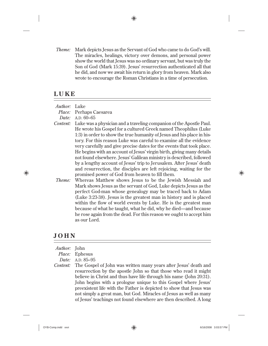*Theme:* Mark depicts Jesus as the Servant of God who came to do God's will. The miracles, healings, victory over demons, and personal power show the world that Jesus was no ordinary servant, but was truly the Son of God (Mark 15:39). Jesus' resurrection authenticated all that he did, and now we await his return in glory from heaven. Mark also wrote to encourage the Roman Christians in a time of persecution.

## **LUKE**

 *Author:* Luke  *Place:* Perhaps Caesarea  *Date:* A.D. 60–65  *Content:* Luke was a physician and a traveling companion of the Apostle Paul. He wrote his Gospel for a cultured Greek named Theophilus (Luke 1:3) in order to show the true humanity of Jesus and his place in his-

tory. For this reason Luke was careful to examine all the evidence very carefully and give precise dates for the events that took place. He begins with an account of Jesus' virgin birth, giving many details not found elsewhere. Jesus' Galilean ministry is described, followed by a lengthy account of Jesus' trip to Jerusalem. After Jesus' death and resurrection, the disciples are left rejoicing, waiting for the promised power of God from heaven to fill them.

 *Theme:* Whereas Matthew shows Jesus to be the Jewish Messiah and Mark shows Jesus as the servant of God, Luke depicts Jesus as the perfect God-man whose genealogy may be traced back to Adam (Luke 3:23-38). Jesus is the greatest man in history and is placed within the flow of world events by Luke. He is the greatest man because of what he taught, what he did, why he died—and because he rose again from the dead. For this reason we ought to accept him as our Lord.

## **JOHN**

 *Author:* John

 *Place:* Ephesus

 *Date:* A.D. 85–95

*Content:* The Gospel of John was written many years after Jesus' death and resurrection by the apostle John so that those who read it might believe in Christ and thus have life through his name (John 20:31). John begins with a prologue unique to this Gospel where Jesus' preexistent life with the Father is depicted to show that Jesus was not simply a great man, but God. Miracles of Jesus as well as many of Jesus' teachings not found elsewhere are then described. A long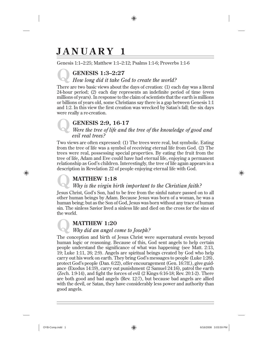Genesis 1:1–2:25; Matthew 1:1–2:12; Psalms 1:1-6; Proverbs 1:1-6

## **Q GENESIS 1:3–2:27**

*How long did it take God to create the world?*

There are two basic views about the days of creation: (1) each day was a literal 24-hour period; (2) each day represents an indefinite period of time (even millions of years). In response to the claim of scientists that the earth is millions or billions of years old, some Christians say there is a gap between Genesis 1:1 and 1:2. In this view the first creation was wrecked by Satan's fall; the six days were really a re-creation.

**Q GENESIS 2:9, 16-17** *Were the tree of life and the tree of the knowledge of good and evil real trees?*

Two views are often expressed: (1) The trees were real, but symbolic. Eating from the tree of life was a symbol of receiving eternal life from God. (2) The trees were real, possessing special properties. By eating the fruit from the tree of life, Adam and Eve could have had eternal life, enjoying a permanent relationship as God's children. Interestingly, the tree of life again appears in a description in Revelation 22 of people enjoying eternal life with God.

# **Q MATTHEW 1:18** *Why is the virgin birth important to the Christian faith?*

Jesus Christ, God's Son, had to be free from the sinful nature passed on to all other human beings by Adam. Because Jesus was born of a woman, he was a human being; but as the Son of God, Jesus was born without any trace of human sin. The sinless Savior lived a sinless life and died on the cross for the sins of the world.

# **Q MATTHEW 1:20** *Why did an angel come to Joseph?*

The conception and birth of Jesus Christ were supernatural events beyond human logic or reasoning. Because of this, God sent angels to help certain people understand the significance of what was happening (see Matt. 2:13, 19; Luke 1:11, 26; 2:9). Angels are spiritual beings created by God who help carry out his work on earth. They bring God's messages to people (Luke 1:26), protect God's people (Dan. 6:22), offer encouragement (Gen. 16:7ff.), give guidance (Exodus 14:19), carry out punishment (2 Samuel 24:16), patrol the earth  $(Zech. 1:9-14)$ , and fight the forces of evil  $(2$  Kings 6:16-18; Rev.  $20:1-2$ ). There are both good and bad angels (Rev. 12:7), but because bad angels are allied with the devil, or Satan, they have considerably less power and authority than good angels.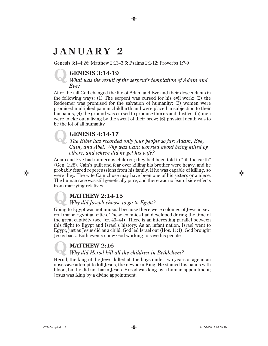Genesis 3:1–4:26; Matthew 2:13–3:6; Psalms 2:1-12; Proverbs 1:7-9

### **Q GENESIS 3:14-19**

*What was the result of the serpent's temptation of Adam and Eve?*

After the fall God changed the life of Adam and Eve and their descendants in the following ways: (1) The serpent was cursed for his evil work; (2) the Redeemer was promised for the salvation of humanity; (3) women were promised multiplied pain in childbirth and were placed in subjection to their husbands; (4) the ground was cursed to produce thorns and thistles; (5) men were to eke out a living by the sweat of their brow; (6) physical death was to be the lot of all humanity.

**Q GENESIS 4:14-17** *The Bible has recorded only four people so far: Adam, Eve, Cain, and Abel. Why was Cain worried about being killed by others, and where did he get his wife?*

Adam and Eve had numerous children; they had been told to "fill the earth" (Gen. 1:28). Cain's guilt and fear over killing his brother were heavy, and he probably feared repercussions from his family. If he was capable of killing, so were they. The wife Cain chose may have been one of his sisters or a niece. The human race was still genetically pure, and there was no fear of side-effects from marrying relatives.

# **Q MATTHEW 2:14-15** *Why did Joseph choose to go to Egypt?*

Going to Egypt was not unusual because there were colonies of Jews in several major Egyptian cities. These colonies had developed during the time of the great captivity (see Jer. 43–44). There is an interesting parallel between this flight to Egypt and Israel's history. As an infant nation, Israel went to Egypt, just as Jesus did as a child. God led Israel out (Hos. 11:1); God brought Jesus back. Both events show God working to save his people.

# **Q MATTHEW 2:16** *Why did Herod kill all the children in Bethlehem?*

Herod, the king of the Jews, killed all the boys under two years of age in an obsessive attempt to kill Jesus, the newborn King. He stained his hands with blood, but he did not harm Jesus. Herod was king by a human appointment; Jesus was King by a divine appointment.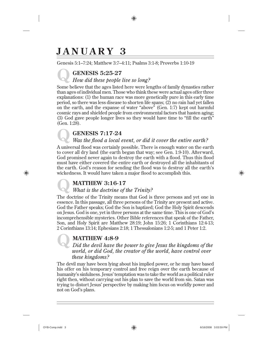Genesis 5:1–7:24; Matthew 3:7–4:11; Psalms 3:1-8; Proverbs 1:10-19

# **Q GENESIS 5:25-27** *How did these people live so long?*

Some believe that the ages listed here were lengths of family dynasties rather than ages of individual men. Those who think these were actual ages offer three explanations: (1) the human race was more genetically pure in this early time period, so there was less disease to shorten life spans; (2) no rain had yet fallen on the earth, and the expanse of water "above" (Gen. 1:7) kept out harmful cosmic rays and shielded people from environmental factors that hasten aging; (3) God gave people longer lives so they would have time to "fill the earth" (Gen. 1:28).

# **Q GENESIS 7:17-24**<br>*Was the flood a local event, or did it cover the entire earth?*

A universal flood was certainly possible. There is enough water on the earth to cover all dry land (the earth began that way; see Gen. 1:9-10). Afterward, God promised never again to destroy the earth with a flood. Thus this flood must have either covered the entire earth or destroyed all the inhabitants of the earth. God's reason for sending the flood was to destroy all the earth's wickedness. It would have taken a major flood to accomplish this.

## **Q MATTHEW 3:16-17**

### *What is the doctrine of the Trinity?*

The doctrine of the Trinity means that God is three persons and yet one in essence. In this passage, all three persons of the Trinity are present and active. God the Father speaks; God the Son is baptized; God the Holy Spirit descends on Jesus. God is one, yet in three persons at the same time. This is one of God's incomprehensible mysteries. Other Bible references that speak of the Father, Son, and Holy Spirit are Matthew 28:19; John 15:26; 1 Corinthians 12:4-13; 2 Corinthians 13:14; Ephesians 2:18; 1 Thessalonians 1:2-5; and 1 Peter 1:2.

## **Q MATTHEW 4:8-9** *Did the devil have the power to give Jesus the kingdoms of the world, or did God, the creator of the world, have control over these kingdoms?*

The devil may have been lying about his implied power, or he may have based his offer on his temporary control and free reign over the earth because of humanity's sinfulness. Jesus' temptation was to take the world as a political ruler right then, without carrying out his plan to save the world from sin. Satan was trying to distort Jesus' perspective by making him focus on worldly power and not on God's plans.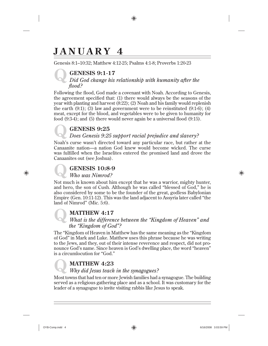Genesis 8:1–10:32; Matthew 4:12-25; Psalms 4:1-8; Proverbs 1:20-23

**Q GENESIS 9:1-17** *Did God change his relationship with humanity after the fl ood?*

Following the flood, God made a covenant with Noah. According to Genesis, the agreement specified that:  $(1)$  there would always be the seasons of the year with planting and harvest (8:22); (2) Noah and his family would replenish the earth  $(9:1)$ ;  $(3)$  law and government were to be reinstituted  $(9:1-6)$ ;  $(4)$ meat, except for the blood, and vegetables were to be given to humanity for food  $(9:3-4)$ ; and  $(5)$  there would never again be a universal flood  $(9:15)$ .

# **Q GENESIS 9:25** *Does Genesis 9:25 support racial prejudice and slavery?*

Noah's curse wasn't directed toward any particular race, but rather at the Canaanite nation—a nation God knew would become wicked. The curse was fulfilled when the Israelites entered the promised land and drove the Canaanites out (see Joshua).

## **Q GENESIS 10:8-9**

*Who was Nimrod?*

Not much is known about him except that he was a warrior, mighty hunter, and hero, the son of Cush. Although he was called "blessed of God," he is also considered by some to be the founder of the great, godless Babylonian Empire (Gen. 10:11-12). This was the land adjacent to Assyria later called "the land of Nimrod" (Mic. 5:6).

**Q MATTHEW 4:17** *What is the difference between the "Kingdom of Heaven" and the "Kingdom of God"?*

The "Kingdom of Heaven in Matthew has the same meaning as the "Kingdom of God" in Mark and Luke. Matthew uses this phrase because he was writing to the Jews, and they, out of their intense reverence and respect, did not pronounce God's name. Since heaven is God's dwelling place, the word "heaven" is a circumlocution for "God."

# **Q MATTHEW 4:23** *Why did Jesus teach in the synagogues?*

Most towns that had ten or more Jewish families had a synagogue. The building served as a religious gathering place and as a school. It was customary for the leader of a synagogue to invite visiting rabbis like Jesus to speak.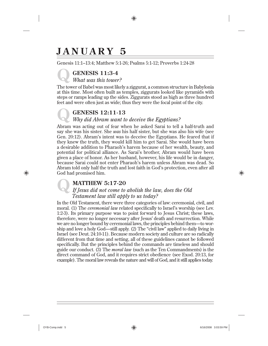Genesis 11:1–13:4; Matthew 5:1-26; Psalms 5:1-12; Proverbs 1:24-28

## **Q GENESIS 11:3-4**

*What was this tower?*

The tower of Babel was most likely a ziggurat, a common structure in Babylonia at this time. Most often built as temples, ziggurats looked like pyramids with steps or ramps leading up the sides. Ziggurats stood as high as three hundred feet and were often just as wide; thus they were the focal point of the city.

# **Q GENESIS 12:11-13** *Why did Abram want to deceive the Egyptians?*

Abram was acting out of fear when he asked Sarai to tell a half-truth and say she was his sister. She *was* his half sister, but she was also his wife (see Gen. 20:12). Abram's intent was to deceive the Egyptians. He feared that if they knew the truth, they would kill him to get Sarai. She would have been a desirable addition to Pharaoh's harem because of her wealth, beauty, and potential for political alliance. As Sarai's brother, Abram would have been given a place of honor. As her husband, however, his life would be in danger, because Sarai could not enter Pharaoh's harem unless Abram was dead. So Abram told only half the truth and lost faith in God's protection, even after all God had promised him.

## **Q MATTHEW 5:17-20** *If Jesus did not come to abolish the law, does the Old Testament law still apply to us today?*

In the Old Testament, there were three categories of law: ceremonial, civil, and moral. (1) The *ceremonial law* related specifically to Israel's worship (see Lev. 1:2-3). Its primary purpose was to point forward to Jesus Christ; these laws, therefore, were no longer necessary after Jesus' death and resurrection. While we are no longer bound by ceremonial laws, the principles behind them—to worship and love a holy God—still apply. (2) The "civil law" applied to daily living in Israel (see Deut. 24:10-11). Because modern society and culture are so radically different from that time and setting, all of these guidelines cannot be followed specifically. But the principles behind the commands are timeless and should guide our conduct. (3) The *moral law* (such as the Ten Commandments) is the direct command of God, and it requires strict obedience (see Exod. 20:13, for example). The moral law reveals the nature and will of God, and it still applies today.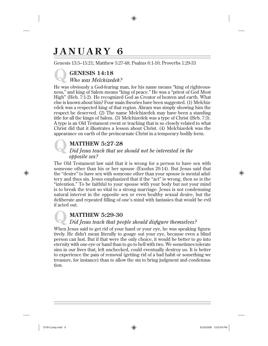Genesis 13:5–15:21; Matthew 5:27-48; Psalms 6:1-10; Proverbs 1:29-33

## **Q GENESIS 14:18**

*Who was Melchizedek?*

He was obviously a God-fearing man, for his name means "king of righteousness," and king of Salem means "king of peace." He was a "priest of God Most High" (Heb. 7:1-2). He recognized God as Creator of heaven and earth. What else is known about him? Four main theories have been suggested. (1) Melchizedek was a respected king of that region. Abram was simply showing him the respect he deserved. (2) The name Melchizedek may have been a standing title for all the kings of Salem. (3) Melchizedek was a type of Christ (Heb. 7:3). A type is an Old Testament event or teaching that is so closely related to what Christ did that it illustrates a lesson about Christ. (4) Melchizedek was the appearance on earth of the preincarnate Christ in a temporary bodily form.

**Q MATTHEW 5:27-28** *Did Jesus teach that we should not be interested in the opposite sex?*

The Old Testament law said that it is wrong for a person to have sex with someone other than his or her spouse (Exodus 20:14). But Jesus said that the "desire" to have sex with someone other than your spouse is mental adultery and thus sin. Jesus emphasized that if the "act" is wrong, then so is the "intention." To be faithful to your spouse with your body but not your mind is to break the trust so vital to a strong marriage. Jesus is not condemning natural interest in the opposite sex or even healthy sexual desire, but the deliberate and repeated filling of one's mind with fantasies that would be evil if acted out.

# **Q MATTHEW 5:29-30**<br>*Did Jesus teach that people should disfigure themselves?*

When Jesus said to get rid of your hand or your eye, he was speaking figuratively. He didn't mean literally to gouge out your eye, because even a blind person can lust. But if that were the only choice, it would be better to go into eternity with one eye or hand than to go to hell with two. We sometimes tolerate sins in our lives that, left unchecked, could eventually destroy us. It is better to experience the pain of removal (getting rid of a bad habit or something we treasure, for instance) than to allow the sin to bring judgment and condemnation.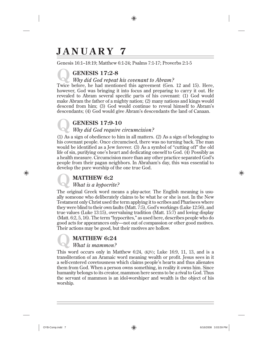Genesis 16:1–18:19; Matthew 6:1-24; Psalms 7:1-17; Proverbs 2:1-5

# **Q GENESIS 17:2-8** *Why did God repeat his covenant to Abram?*

Twice before, he had mentioned this agreement (Gen. 12 and 15). Here, however, God was bringing it into focus and preparing to carry it out. He revealed to Abram several specific parts of his covenant: (1) God would make Abram the father of a mighty nation; (2) many nations and kings would descend from him; (3) God would continue to reveal himself to Abram's descendants; (4) God would give Abram's descendants the land of Canaan.

## **Q GENESIS 17:9-10**

### *Why did God require circumcision?*

(1) As a sign of obedience to him in all matters. (2) As a sign of belonging to his covenant people. Once circumcised, there was no turning back. The man would be identified as a Jew forever. (3) As a symbol of "cutting off" the old life of sin, purifying one's heart and dedicating oneself to God. (4) Possibly as a health measure. Circumcision more than any other practice separated God's people from their pagan neighbors. In Abraham's day, this was essential to develop the pure worship of the one true God.

# **Q MATTHEW 6:2** *What is a hypocrite?*

The original Greek word means a play-actor. The English meaning is usually someone who deliberately claims to be what he or she is not. In the New Testament only Christ used the term applying it to scribes and Pharisees where they were blind to their own faults (Matt. 7:5), God's workings (Luke 12:56), and true values (Luke 13:15), overvaluing tradition (Matt. 15:7) and loving display (Matt. 6:2, 5, 16). The term "hypocrites," as used here, describes people who do good acts for appearances only—not out of compassion or other good motives. Their actions may be good, but their motives are hollow.

# **Q MATTHEW 6:24** *What is mammon?*

This word occurs only in Matthew 6:24, (KJV); Luke 16:9, 11, 13, and is a transliteration of an Aramaic word meaning wealth or profit. Jesus sees in it a self-centered covetousness which claims people's hearts and thus alienates them from God. When a person owns something, in reality it owns him. Since humanity belongs to its creator, mammon here seems to be a rival to God. Thus the servant of mammon is an idol-worshiper and wealth is the object of his worship.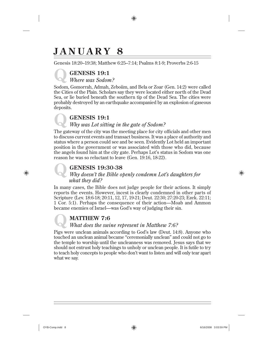Genesis 18:20–19:38; Matthew 6:25–7:14; Psalms 8:1-9; Proverbs 2:6-15

## **Q GENESIS 19:1**

*Where was Sodom?*

Sodom, Gomorrah, Admah, Zeboiim, and Bela or Zoar (Gen. 14:2) were called the Cities of the Plain. Scholars say they were located either north of the Dead Sea, or lie buried beneath the southern tip of the Dead Sea. The cities were probably destroyed by an earthquake accompanied by an explosion of gaseous deposits.

# **Q GENESIS 19:1** *Why was Lot sitting in the gate of Sodom?*

The gateway of the city was the meeting place for city officials and other men to discuss current events and transact business. It was a place of authority and status where a person could see and be seen. Evidently Lot held an important position in the government or was associated with those who did, because the angels found him at the city gate. Perhaps Lot's status in Sodom was one reason he was so reluctant to leave (Gen. 19:16, 18-22).

## **Q GENESIS 19:30-38** *Why doesn't the Bible openly condemn Lot's daughters for what they did?*

In many cases, the Bible does not judge people for their actions. It simply reports the events. However, incest is clearly condemned in other parts of Scripture (Lev. 18:6-18; 20:11, 12, 17, 19-21; Deut. 22:30; 27:20-23; Ezek. 22:11; 1 Cor. 5:1). Perhaps the consequence of their action—Moab and Ammon became enemies of Israel—was God's way of judging their sin.

# **Q MATTHEW 7:6** *What does the swine represent in Matthew 7:6?*

Pigs were unclean animals according to God's law (Deut. 14:8). Anyone who touched an unclean animal became "ceremonially unclean" and could not go to the temple to worship until the uncleanness was removed. Jesus says that we should not entrust holy teachings to unholy or unclean people. It is futile to try to teach holy concepts to people who don't want to listen and will only tear apart what we say.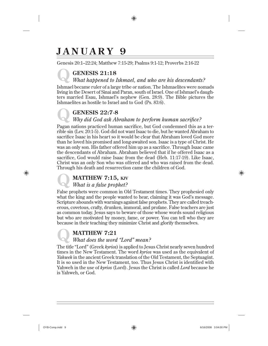Genesis 20:1–22:24; Matthew 7:15-29; Psalms 9:1-12; Proverbs 2:16-22

# **Q GENESIS 21:18** *What happened to Ishmael, and who are his descendants?*

Ishmael became ruler of a large tribe or nation. The Ishmaelites were nomads living in the Desert of Sinai and Paran, south of Israel. One of Ishmael's daughters married Esau, Ishmael's nephew (Gen. 28:9). The Bible pictures the Ishmaelites as hostile to Israel and to God (Ps. 83:6).

# **Q GENESIS 22:7-8**<br>*Why did God ask Abraham to perform human sacrifice?*

Pagan nations practiced human sacrifice, but God condemned this as a terrible sin (Lev. 20:1-5). God did not want Isaac to die, but he wanted Abraham to sacrifice Isaac in his heart so it would be clear that Abraham loved God more than he loved his promised and long-awaited son. Isaac is a type of Christ. He was an only son. His father offered him up as a sacrifice. Through Isaac came the descendants of Abraham. Abraham believed that if he offered Isaac as a sacrifice. God would raise Isaac from the dead (Heb. 11:17-19). Like Isaac, Christ was an only Son who was offered and who was raised from the dead. Through his death and resurrection came the children of God.

### **Q MATTHEW 7:15, KJV**

### *What is a false prophet?*

False prophets were common in Old Testament times. They prophesied only what the king and the people wanted to hear, claiming it was God's message. Scripture abounds with warnings against false prophets. They are called treacherous, covetous, crafty, drunken, immoral, and profane. False teachers are just as common today. Jesus says to beware of those whose words sound religious but who are motivated by money, fame, or power. You can tell who they are because in their teaching they minimize Christ and glorify themselves.

# **Q MATTHEW 7:21** *What does the word "Lord" mean?*

The title "Lord" (Greek *kyrios*) is applied to Jesus Christ nearly seven hundred times in the New Testament. The word *kyrios* was used as the equivalent of *Yahweh* in the ancient Greek translation of the Old Testament, the Septuagint. It is so used in the New Testament, too. Thus Jesus Christ is identified with Yahweh in the use of *kyrios* (Lord). Jesus the Christ is called *Lord* because he is Yahweh, or God.